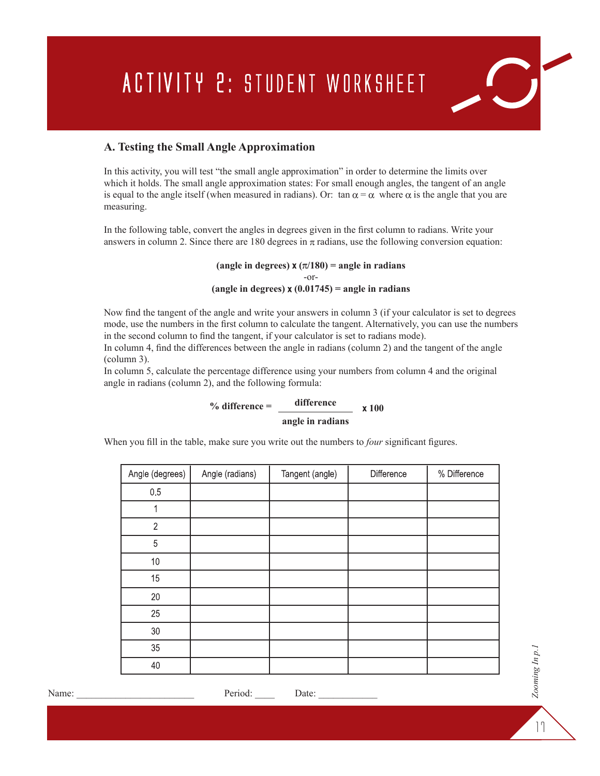## **ACTIVITY 2: STUDENT WORKSHEET**

## **A. Testing the Small Angle Approximation**

In this activity, you will test "the small angle approximation" in order to determine the limits over which it holds. The small angle approximation states: For small enough angles, the tangent of an angle is equal to the angle itself (when measured in radians). Or: tan  $\alpha = \alpha$  where  $\alpha$  is the angle that you are measuring.

In the following table, convert the angles in degrees given in the first column to radians. Write your answers in column 2. Since there are 180 degrees in  $\pi$  radians, use the following conversion equation:

> (angle in degrees)  $x (\pi/180) =$  angle in radians -or- (angle in degrees)  $x(0.01745) =$  angle in radians

Now find the tangent of the angle and write your answers in column 3 (if your calculator is set to degrees mode, use the numbers in the first column to calculate the tangent. Alternatively, you can use the numbers in the second column to find the tangent, if your calculator is set to radians mode).

In column 4, find the differences between the angle in radians (column 2) and the tangent of the angle (column 3).

In column 5, calculate the percentage difference using your numbers from column 4 and the original angle in radians (column 2), and the following formula:

> **% difference = angle in radians** difference  $\times 100$

When you fill in the table, make sure you write out the numbers to *four* significant figures.

| Angle (degrees) | Angle (radians) | Tangent (angle) | Difference | % Difference |
|-----------------|-----------------|-----------------|------------|--------------|
| 0.5             |                 |                 |            |              |
| 1               |                 |                 |            |              |
| $\sqrt{2}$      |                 |                 |            |              |
| $\overline{5}$  |                 |                 |            |              |
| $10$            |                 |                 |            |              |
| 15              |                 |                 |            |              |
| 20              |                 |                 |            |              |
| 25              |                 |                 |            |              |
| $30\,$          |                 |                 |            |              |
| $35\,$          |                 |                 |            |              |
| 40              |                 |                 |            |              |

17

*Zooming In p.1*

Zooming In p.1

 $\boxed{C}$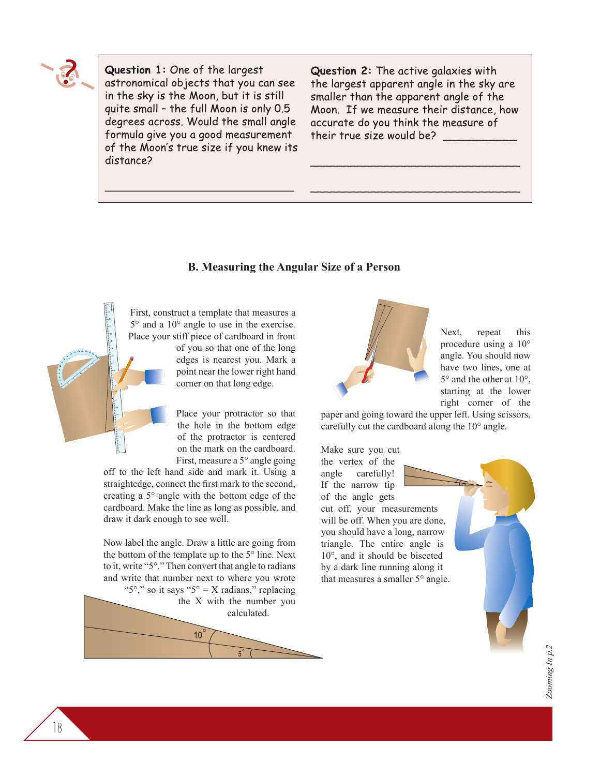

Question 1: One of the largest astronomical objects that you can see in the sky is the Moon, but it is still quite small - the full Moon is only 0.5 degrees across. Would the small angle formula give you a good measurement of the Moon's true size if you knew its distance?

Question 2: The active galaxies with the largest apparent angle in the sky are smaller than the apparent angle of the Moon. If we measure their distance, how accurate do you think the measure of their true size would be?

## **B. Measuring the Angular Size of a Person**

First, construct a template that measures a 5° and a 10° angle to use in the exercise. Place your stiff piece of cardboard in front

of you so that one of the long edges is nearest you. Mark a point near the lower right hand corner on that long edge.

Place your protractor so that the hole in the bottom edge of the protractor is centered on the mark on the cardboard. First, measure a 5° angle going

off to the left hand side and mark it. Using a straightedge, connect the first mark to the second, creating a 5° angle with the bottom edge of the cardboard. Make the line as long as possible, and draw it dark enough to see well.

Now label the angle. Draw a little arc going from the bottom of the template up to the 5° line. Next to it, write "5°." Then convert that angle to radians and write that number next to where you wrote " $5^\circ$ ," so it says " $5^\circ = X$  radians," replacing the X with the number you

calculated.  $10^{\degree}$ 



Next, repeat this procedure using a 10° angle. You should now have two lines, one at 5° and the other at 10°, starting at the lower right corner of the

paper and going toward the upper left. Using scissors, carefully cut the cardboard along the 10° angle.

Make sure you cut the vertex of the angle carefully! If the narrow tip of the angle gets

cut off, your measurements will be off. When you are done, you should have a long, narrow triangle. The entire angle is 10°, and it should be bisected by a dark line running along it that measures a smaller 5° angle.



18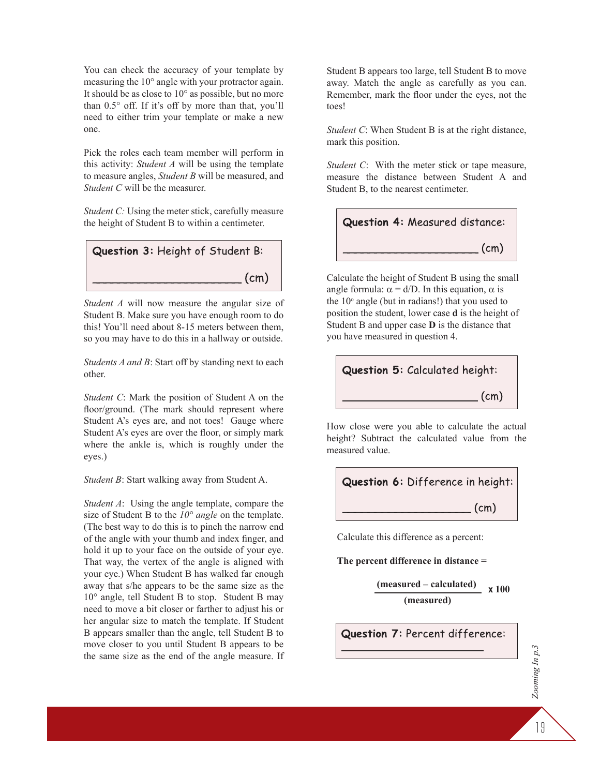You can check the accuracy of your template by measuring the 10° angle with your protractor again. It should be as close to 10° as possible, but no more than 0.5° off. If it's off by more than that, you'll need to either trim your template or make a new one.

Pick the roles each team member will perform in this activity: *Student A* will be using the template to measure angles, *Student B* will be measured, and *Student C* will be the measurer.

*Student C:* Using the meter stick, carefully measure the height of Student B to within a centimeter.



*Student A* will now measure the angular size of Student B. Make sure you have enough room to do this! You'll need about 8-15 meters between them, so you may have to do this in a hallway or outside.

*Students A and B*: Start off by standing next to each other.

*Student C*: Mark the position of Student A on the floor/ground. (The mark should represent where Student A's eyes are, and not toes! Gauge where Student A's eyes are over the floor, or simply mark where the ankle is, which is roughly under the eyes.)

*Student B*: Start walking away from Student A.

*Student A*: Using the angle template, compare the size of Student B to the *10° angle* on the template. (The best way to do this is to pinch the narrow end of the angle with your thumb and index finger, and hold it up to your face on the outside of your eye. That way, the vertex of the angle is aligned with your eye.) When Student B has walked far enough away that s/he appears to be the same size as the 10° angle, tell Student B to stop. Student B may need to move a bit closer or farther to adjust his or her angular size to match the template. If Student B appears smaller than the angle, tell Student B to move closer to you until Student B appears to be the same size as the end of the angle measure. If Student B appears too large, tell Student B to move away. Match the angle as carefully as you can. Remember, mark the floor under the eyes, not the toes!

*Student C*: When Student B is at the right distance, mark this position.

*Student C*: With the meter stick or tape measure, measure the distance between Student A and Student B, to the nearest centimeter.



Calculate the height of Student B using the small angle formula:  $\alpha = d/D$ . In this equation,  $\alpha$  is the  $10^{\circ}$  angle (but in radians!) that you used to position the student, lower case **d** is the height of Student B and upper case **D** is the distance that you have measured in question 4.



How close were you able to calculate the actual height? Subtract the calculated value from the measured value.



Calculate this difference as a percent:

**The percent difference in distance =**

**(measured – calculated) (measured) 100**

Question 7: Percent difference:

19